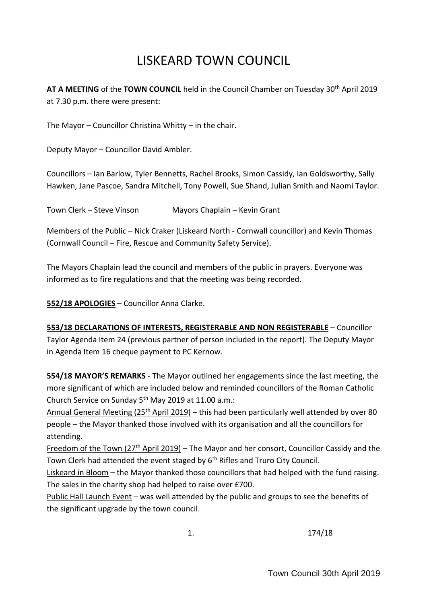# LISKEARD TOWN COUNCIL

**AT A MEETING** of the **TOWN COUNCIL** held in the Council Chamber on Tuesday 30th April 2019 at 7.30 p.m. there were present:

The Mayor – Councillor Christina Whitty – in the chair.

Deputy Mayor – Councillor David Ambler.

Councillors – Ian Barlow, Tyler Bennetts, Rachel Brooks, Simon Cassidy, Ian Goldsworthy, Sally Hawken, Jane Pascoe, Sandra Mitchell, Tony Powell, Sue Shand, Julian Smith and Naomi Taylor.

Town Clerk – Steve Vinson Mayors Chaplain – Kevin Grant

Members of the Public – Nick Craker (Liskeard North - Cornwall councillor) and Kevin Thomas (Cornwall Council – Fire, Rescue and Community Safety Service).

The Mayors Chaplain lead the council and members of the public in prayers. Everyone was informed as to fire regulations and that the meeting was being recorded.

**552/18 APOLOGIES** – Councillor Anna Clarke.

**553/18 DECLARATIONS OF INTERESTS, REGISTERABLE AND NON REGISTERABLE** – Councillor Taylor Agenda Item 24 (previous partner of person included in the report). The Deputy Mayor in Agenda Item 16 cheque payment to PC Kernow.

**554/18 MAYOR'S REMARKS** - The Mayor outlined her engagements since the last meeting, the more significant of which are included below and reminded councillors of the Roman Catholic Church Service on Sunday 5<sup>th</sup> May 2019 at 11.00 a.m.:

Annual General Meeting (25<sup>th</sup> April 2019) – this had been particularly well attended by over 80 people – the Mayor thanked those involved with its organisation and all the councillors for attending.

Freedom of the Town (27<sup>th</sup> April 2019) – The Mayor and her consort, Councillor Cassidy and the Town Clerk had attended the event staged by 6<sup>th</sup> Rifles and Truro City Council.

Liskeard in Bloom – the Mayor thanked those councillors that had helped with the fund raising. The sales in the charity shop had helped to raise over £700.

Public Hall Launch Event – was well attended by the public and groups to see the benefits of the significant upgrade by the town council.

1. 174/18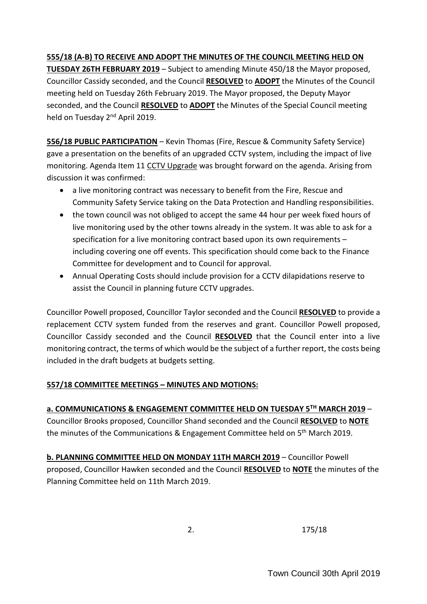# **555/18 (A-B) TO RECEIVE AND ADOPT THE MINUTES OF THE COUNCIL MEETING HELD ON**

**TUESDAY 26TH FEBRUARY 2019** – Subject to amending Minute 450/18 the Mayor proposed, Councillor Cassidy seconded, and the Council **RESOLVED** to **ADOPT** the Minutes of the Council meeting held on Tuesday 26th February 2019. The Mayor proposed, the Deputy Mayor seconded, and the Council **RESOLVED** to **ADOPT** the Minutes of the Special Council meeting held on Tuesday 2<sup>nd</sup> April 2019.

**556/18 PUBLIC PARTICIPATION** – Kevin Thomas (Fire, Rescue & Community Safety Service) gave a presentation on the benefits of an upgraded CCTV system, including the impact of live monitoring. Agenda Item 11 CCTV Upgrade was brought forward on the agenda. Arising from discussion it was confirmed:

- a live monitoring contract was necessary to benefit from the Fire, Rescue and Community Safety Service taking on the Data Protection and Handling responsibilities.
- the town council was not obliged to accept the same 44 hour per week fixed hours of live monitoring used by the other towns already in the system. It was able to ask for a specification for a live monitoring contract based upon its own requirements – including covering one off events. This specification should come back to the Finance Committee for development and to Council for approval.
- Annual Operating Costs should include provision for a CCTV dilapidations reserve to assist the Council in planning future CCTV upgrades.

Councillor Powell proposed, Councillor Taylor seconded and the Council **RESOLVED** to provide a replacement CCTV system funded from the reserves and grant. Councillor Powell proposed, Councillor Cassidy seconded and the Council **RESOLVED** that the Council enter into a live monitoring contract, the terms of which would be the subject of a further report, the costs being included in the draft budgets at budgets setting.

#### **557/18 COMMITTEE MEETINGS – MINUTES AND MOTIONS:**

# **a. COMMUNICATIONS & ENGAGEMENT COMMITTEE HELD ON TUESDAY 5TH MARCH 2019** –

Councillor Brooks proposed, Councillor Shand seconded and the Council **RESOLVED** to **NOTE** the minutes of the Communications & Engagement Committee held on 5<sup>th</sup> March 2019.

**b. PLANNING COMMITTEE HELD ON MONDAY 11TH MARCH 2019** – Councillor Powell proposed, Councillor Hawken seconded and the Council **RESOLVED** to **NOTE** the minutes of the Planning Committee held on 11th March 2019.

2. 175/18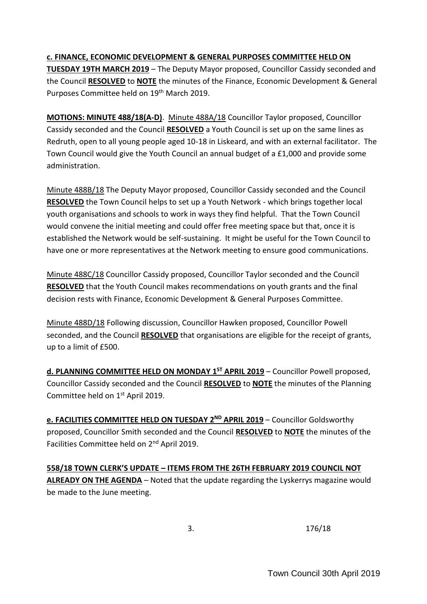#### **c. FINANCE, ECONOMIC DEVELOPMENT & GENERAL PURPOSES COMMITTEE HELD ON**

**TUESDAY 19TH MARCH 2019** – The Deputy Mayor proposed, Councillor Cassidy seconded and the Council **RESOLVED** to **NOTE** the minutes of the Finance, Economic Development & General Purposes Committee held on 19<sup>th</sup> March 2019.

**MOTIONS: MINUTE 488/18(A-D)**. Minute 488A/18 Councillor Taylor proposed, Councillor Cassidy seconded and the Council **RESOLVED** a Youth Council is set up on the same lines as Redruth, open to all young people aged 10-18 in Liskeard, and with an external facilitator. The Town Council would give the Youth Council an annual budget of a £1,000 and provide some administration.

Minute 488B/18 The Deputy Mayor proposed, Councillor Cassidy seconded and the Council **RESOLVED** the Town Council helps to set up a Youth Network - which brings together local youth organisations and schools to work in ways they find helpful. That the Town Council would convene the initial meeting and could offer free meeting space but that, once it is established the Network would be self-sustaining. It might be useful for the Town Council to have one or more representatives at the Network meeting to ensure good communications.

Minute 488C/18 Councillor Cassidy proposed, Councillor Taylor seconded and the Council **RESOLVED** that the Youth Council makes recommendations on youth grants and the final decision rests with Finance, Economic Development & General Purposes Committee.

Minute 488D/18 Following discussion, Councillor Hawken proposed, Councillor Powell seconded, and the Council **RESOLVED** that organisations are eligible for the receipt of grants, up to a limit of £500.

**d. PLANNING COMMITTEE HELD ON MONDAY 1 ST APRIL 2019** – Councillor Powell proposed, Councillor Cassidy seconded and the Council **RESOLVED** to **NOTE** the minutes of the Planning Committee held on 1<sup>st</sup> April 2019.

**e. FACILITIES COMMITTEE HELD ON TUESDAY 2 ND APRIL 2019** – Councillor Goldsworthy proposed, Councillor Smith seconded and the Council **RESOLVED** to **NOTE** the minutes of the Facilities Committee held on 2<sup>nd</sup> April 2019.

**558/18 TOWN CLERK'S UPDATE – ITEMS FROM THE 26TH FEBRUARY 2019 COUNCIL NOT ALREADY ON THE AGENDA** – Noted that the update regarding the Lyskerrys magazine would be made to the June meeting.

3. 176/18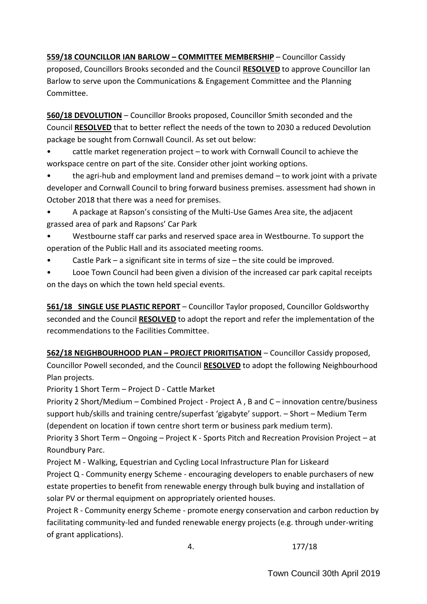**559/18 COUNCILLOR IAN BARLOW – COMMITTEE MEMBERSHIP** – Councillor Cassidy proposed, Councillors Brooks seconded and the Council **RESOLVED** to approve Councillor Ian Barlow to serve upon the Communications & Engagement Committee and the Planning Committee.

**560/18 DEVOLUTION** – Councillor Brooks proposed, Councillor Smith seconded and the Council **RESOLVED** that to better reflect the needs of the town to 2030 a reduced Devolution package be sought from Cornwall Council. As set out below:

• cattle market regeneration project – to work with Cornwall Council to achieve the workspace centre on part of the site. Consider other joint working options.

• the agri-hub and employment land and premises demand – to work joint with a private developer and Cornwall Council to bring forward business premises. assessment had shown in October 2018 that there was a need for premises.

• A package at Rapson's consisting of the Multi-Use Games Area site, the adjacent grassed area of park and Rapsons' Car Park

• Westbourne staff car parks and reserved space area in Westbourne. To support the operation of the Public Hall and its associated meeting rooms.

- Castle Park a significant site in terms of size the site could be improved.
- Looe Town Council had been given a division of the increased car park capital receipts on the days on which the town held special events.

**561/18 SINGLE USE PLASTIC REPORT** – Councillor Taylor proposed, Councillor Goldsworthy seconded and the Council **RESOLVED** to adopt the report and refer the implementation of the recommendations to the Facilities Committee.

**562/18 NEIGHBOURHOOD PLAN – PROJECT PRIORITISATION** – Councillor Cassidy proposed, Councillor Powell seconded, and the Council **RESOLVED** to adopt the following Neighbourhood Plan projects.

Priority 1 Short Term – Project D - Cattle Market

Priority 2 Short/Medium – Combined Project - Project A , B and C – innovation centre/business support hub/skills and training centre/superfast 'gigabyte' support. – Short – Medium Term (dependent on location if town centre short term or business park medium term).

Priority 3 Short Term – Ongoing – Project K - Sports Pitch and Recreation Provision Project – at Roundbury Parc.

Project M - Walking, Equestrian and Cycling Local Infrastructure Plan for Liskeard Project Q - Community energy Scheme - encouraging developers to enable purchasers of new estate properties to benefit from renewable energy through bulk buying and installation of solar PV or thermal equipment on appropriately oriented houses.

Project R - Community energy Scheme - promote energy conservation and carbon reduction by facilitating community-led and funded renewable energy projects (e.g. through under-writing of grant applications).

4. 177/18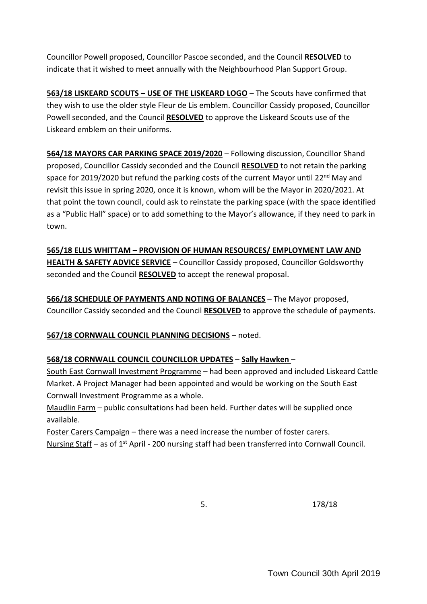Councillor Powell proposed, Councillor Pascoe seconded, and the Council **RESOLVED** to indicate that it wished to meet annually with the Neighbourhood Plan Support Group.

**563/18 LISKEARD SCOUTS – USE OF THE LISKEARD LOGO** – The Scouts have confirmed that they wish to use the older style Fleur de Lis emblem. Councillor Cassidy proposed, Councillor Powell seconded, and the Council **RESOLVED** to approve the Liskeard Scouts use of the Liskeard emblem on their uniforms.

**564/18 MAYORS CAR PARKING SPACE 2019/2020** – Following discussion, Councillor Shand proposed, Councillor Cassidy seconded and the Council **RESOLVED** to not retain the parking space for 2019/2020 but refund the parking costs of the current Mayor until 22<sup>nd</sup> May and revisit this issue in spring 2020, once it is known, whom will be the Mayor in 2020/2021. At that point the town council, could ask to reinstate the parking space (with the space identified as a "Public Hall" space) or to add something to the Mayor's allowance, if they need to park in town.

**565/18 ELLIS WHITTAM – PROVISION OF HUMAN RESOURCES/ EMPLOYMENT LAW AND HEALTH & SAFETY ADVICE SERVICE** – Councillor Cassidy proposed, Councillor Goldsworthy seconded and the Council **RESOLVED** to accept the renewal proposal.

**566/18 SCHEDULE OF PAYMENTS AND NOTING OF BALANCES** – The Mayor proposed, Councillor Cassidy seconded and the Council **RESOLVED** to approve the schedule of payments.

**567/18 CORNWALL COUNCIL PLANNING DECISIONS** – noted.

# **568/18 CORNWALL COUNCIL COUNCILLOR UPDATES** – **Sally Hawken** –

South East Cornwall Investment Programme – had been approved and included Liskeard Cattle Market. A Project Manager had been appointed and would be working on the South East Cornwall Investment Programme as a whole.

Maudlin Farm – public consultations had been held. Further dates will be supplied once available.

Foster Carers Campaign – there was a need increase the number of foster carers. Nursing Staff – as of 1<sup>st</sup> April - 200 nursing staff had been transferred into Cornwall Council.

5. 178/18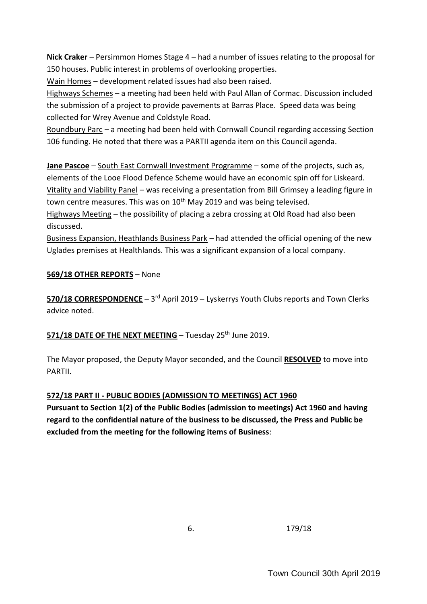**Nick Craker** – Persimmon Homes Stage 4 – had a number of issues relating to the proposal for 150 houses. Public interest in problems of overlooking properties.

Wain Homes – development related issues had also been raised.

Highways Schemes – a meeting had been held with Paul Allan of Cormac. Discussion included the submission of a project to provide pavements at Barras Place. Speed data was being collected for Wrey Avenue and Coldstyle Road.

Roundbury Parc – a meeting had been held with Cornwall Council regarding accessing Section 106 funding. He noted that there was a PARTII agenda item on this Council agenda.

**Jane Pascoe** – South East Cornwall Investment Programme – some of the projects, such as, elements of the Looe Flood Defence Scheme would have an economic spin off for Liskeard. Vitality and Viability Panel – was receiving a presentation from Bill Grimsey a leading figure in town centre measures. This was on  $10<sup>th</sup>$  May 2019 and was being televised.

Highways Meeting – the possibility of placing a zebra crossing at Old Road had also been discussed.

Business Expansion, Heathlands Business Park – had attended the official opening of the new Uglades premises at Healthlands. This was a significant expansion of a local company.

# **569/18 OTHER REPORTS** – None

570/18 CORRESPONDENCE - 3<sup>rd</sup> April 2019 - Lyskerrys Youth Clubs reports and Town Clerks advice noted.

**571/18 DATE OF THE NEXT MEETING** – Tuesday 25th June 2019.

The Mayor proposed, the Deputy Mayor seconded, and the Council **RESOLVED** to move into PARTII.

# **572/18 PART II - PUBLIC BODIES (ADMISSION TO MEETINGS) ACT 1960**

**Pursuant to Section 1(2) of the Public Bodies (admission to meetings) Act 1960 and having regard to the confidential nature of the business to be discussed, the Press and Public be excluded from the meeting for the following items of Business**:

6. 179/18